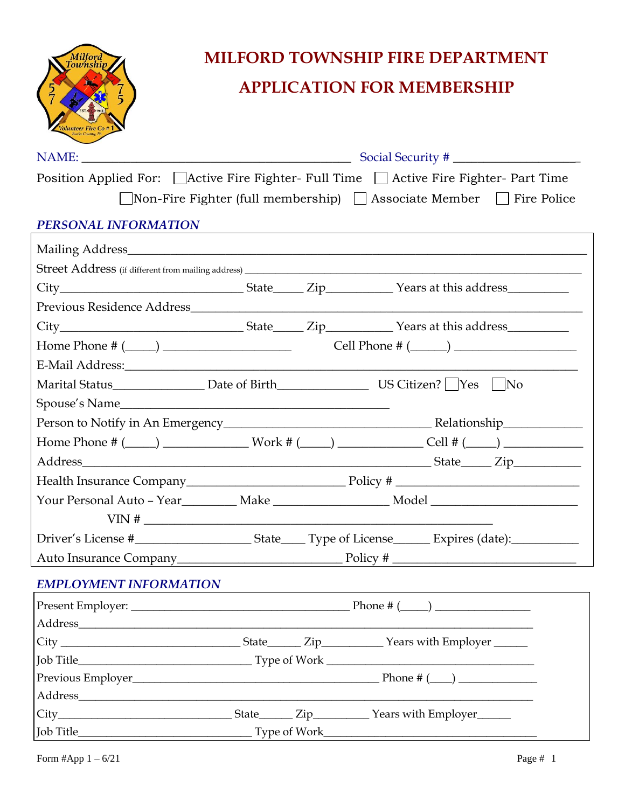

| Position Applied For: △ △ Active Fire Fighter- Full Time △ △ Active Fire Fighter- Part Time                    |              |                  |                  |                     |  |
|----------------------------------------------------------------------------------------------------------------|--------------|------------------|------------------|---------------------|--|
| $\Box$ Non-Fire Fighter (full membership) $\Box$ Associate Member $\Box$ Fire Police                           |              |                  |                  |                     |  |
| PERSONAL INFORMATION                                                                                           |              |                  |                  |                     |  |
|                                                                                                                |              |                  |                  |                     |  |
|                                                                                                                |              |                  |                  |                     |  |
|                                                                                                                |              |                  |                  |                     |  |
|                                                                                                                |              |                  |                  |                     |  |
|                                                                                                                |              |                  |                  |                     |  |
|                                                                                                                |              |                  |                  |                     |  |
|                                                                                                                |              |                  |                  |                     |  |
| Marital Status Marital Status Marital Status Marital Status $\sim$ Date of Birth $\sim$ US Citizen?   Yes   No |              |                  |                  |                     |  |
|                                                                                                                |              |                  |                  |                     |  |
|                                                                                                                |              |                  |                  |                     |  |
| Home Phone # $(\_\_\_\_)$ Work # $(\_\_\_\_)$ $\_\_\_\_$ Cell # $(\_\_\_)$                                     |              |                  |                  |                     |  |
|                                                                                                                |              |                  |                  |                     |  |
|                                                                                                                |              |                  |                  |                     |  |
|                                                                                                                |              |                  |                  |                     |  |
| $VIN$ #                                                                                                        |              |                  |                  |                     |  |
|                                                                                                                |              |                  |                  |                     |  |
|                                                                                                                |              |                  |                  |                     |  |
| <b>EMPLOYMENT INFORMATION</b>                                                                                  |              |                  |                  |                     |  |
|                                                                                                                |              |                  | Phone # $(\_\_)$ |                     |  |
| Address                                                                                                        |              |                  |                  |                     |  |
|                                                                                                                |              |                  |                  |                     |  |
|                                                                                                                |              |                  |                  |                     |  |
|                                                                                                                |              |                  |                  |                     |  |
|                                                                                                                |              |                  |                  |                     |  |
|                                                                                                                | State_______ | $\mathsf{Zip}\_$ |                  | Years with Employer |  |

Job Title\_\_\_\_\_\_\_\_\_\_\_\_\_\_\_\_\_\_\_\_\_\_\_\_\_\_\_\_\_\_\_ Type of Work\_\_\_\_\_\_\_\_\_\_\_\_\_\_\_\_\_\_\_\_\_\_\_\_\_\_\_\_\_\_\_\_\_\_\_\_\_\_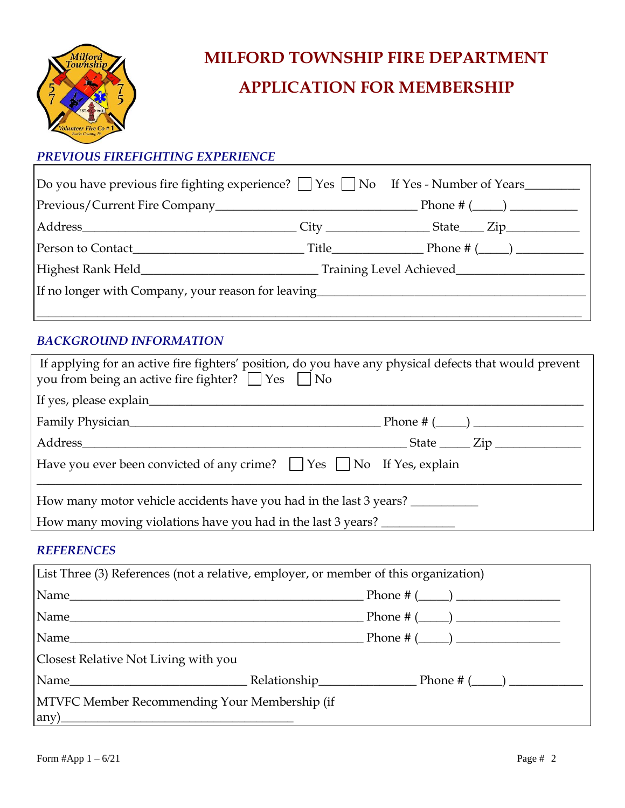

### *PREVIOUS FIREFIGHTING EXPERIENCE*

| Do you have previous fire fighting experience? $\Box$ Yes $\Box$ No If Yes - Number of Years |  |  |  |
|----------------------------------------------------------------------------------------------|--|--|--|
|                                                                                              |  |  |  |
|                                                                                              |  |  |  |
|                                                                                              |  |  |  |
|                                                                                              |  |  |  |
| If no longer with Company, your reason for leaving______________________________             |  |  |  |
|                                                                                              |  |  |  |

#### *BACKGROUND INFORMATION*

| If applying for an active fire fighters' position, do you have any physical defects that would prevent<br>you from being an active fire fighter? $\Box$ Yes $\Box$ No |  |
|-----------------------------------------------------------------------------------------------------------------------------------------------------------------------|--|
|                                                                                                                                                                       |  |
|                                                                                                                                                                       |  |
|                                                                                                                                                                       |  |
| Have you ever been convicted of any crime? $\Box$ Yes $\Box$ No If Yes, explain                                                                                       |  |
| How many motor vehicle accidents have you had in the last 3 years?                                                                                                    |  |
| How many moving violations have you had in the last 3 years?                                                                                                          |  |

#### *REFERENCES*

| List Three (3) References (not a relative, employer, or member of this organization) |  |                                                                                                                                                                                                                                                                                             |  |
|--------------------------------------------------------------------------------------|--|---------------------------------------------------------------------------------------------------------------------------------------------------------------------------------------------------------------------------------------------------------------------------------------------|--|
|                                                                                      |  |                                                                                                                                                                                                                                                                                             |  |
|                                                                                      |  |                                                                                                                                                                                                                                                                                             |  |
|                                                                                      |  |                                                                                                                                                                                                                                                                                             |  |
| Closest Relative Not Living with you                                                 |  |                                                                                                                                                                                                                                                                                             |  |
|                                                                                      |  | $\lvert$ Name $\lvert$ Name $\lvert$ Name $\lvert$ Name $\lvert$ Name $\lvert$ Name $\lvert$ Name $\lvert$ Name $\lvert$ Name $\lvert$ Name $\lvert$ Name $\lvert$ Name $\lvert$ Name $\lvert$ Name $\lvert$ Name $\lvert$ Name $\lvert$ Name $\lvert$ Name $\lvert$ Name $\lvert$ Name $\$ |  |
| MTVFC Member Recommending Your Membership (if<br>$\left(\frac{any}{1/2}\right)$      |  |                                                                                                                                                                                                                                                                                             |  |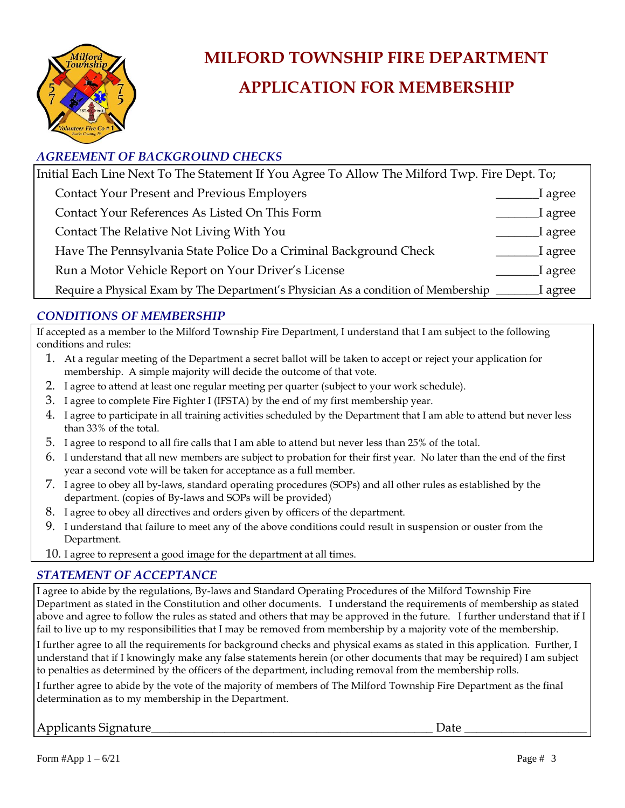

### *AGREEMENT OF BACKGROUND CHECKS*

| Initial Each Line Next To The Statement If You Agree To Allow The Milford Twp. Fire Dept. To;       |         |
|-----------------------------------------------------------------------------------------------------|---------|
| <b>Contact Your Present and Previous Employers</b>                                                  | l agree |
| Contact Your References As Listed On This Form                                                      | I agree |
| Contact The Relative Not Living With You                                                            | I agree |
| Have The Pennsylvania State Police Do a Criminal Background Check                                   | I agree |
| Run a Motor Vehicle Report on Your Driver's License                                                 | I agree |
| Require a Physical Exam by The Department's Physician As a condition of Membership ________ I agree |         |

#### *CONDITIONS OF MEMBERSHIP*

If accepted as a member to the Milford Township Fire Department, I understand that I am subject to the following conditions and rules:

- 1. At a regular meeting of the Department a secret ballot will be taken to accept or reject your application for membership. A simple majority will decide the outcome of that vote.
- 2. I agree to attend at least one regular meeting per quarter (subject to your work schedule).
- 3. I agree to complete Fire Fighter I (IFSTA) by the end of my first membership year.
- 4. I agree to participate in all training activities scheduled by the Department that I am able to attend but never less than 33% of the total.
- 5. I agree to respond to all fire calls that I am able to attend but never less than 25% of the total.
- 6. I understand that all new members are subject to probation for their first year. No later than the end of the first year a second vote will be taken for acceptance as a full member.
- 7. I agree to obey all by-laws, standard operating procedures (SOPs) and all other rules as established by the department. (copies of By-laws and SOPs will be provided)
- 8. I agree to obey all directives and orders given by officers of the department.
- 9. I understand that failure to meet any of the above conditions could result in suspension or ouster from the Department.
- 10. I agree to represent a good image for the department at all times.

#### *STATEMENT OF ACCEPTANCE*

I agree to abide by the regulations, By-laws and Standard Operating Procedures of the Milford Township Fire Department as stated in the Constitution and other documents. I understand the requirements of membership as stated above and agree to follow the rules as stated and others that may be approved in the future. I further understand that if I fail to live up to my responsibilities that I may be removed from membership by a majority vote of the membership.

I further agree to all the requirements for background checks and physical exams as stated in this application. Further, I understand that if I knowingly make any false statements herein (or other documents that may be required) I am subject to penalties as determined by the officers of the department, including removal from the membership rolls.

I further agree to abide by the vote of the majority of members of The Milford Township Fire Department as the final determination as to my membership in the Department.

### Applicants Signature\_\_\_\_\_\_\_\_\_\_\_\_\_\_\_\_\_\_\_\_\_\_\_\_\_\_\_\_\_\_\_\_\_\_\_\_\_\_\_\_\_\_\_\_\_\_ Date \_\_\_\_\_\_\_\_\_\_\_\_\_\_\_\_\_\_\_\_